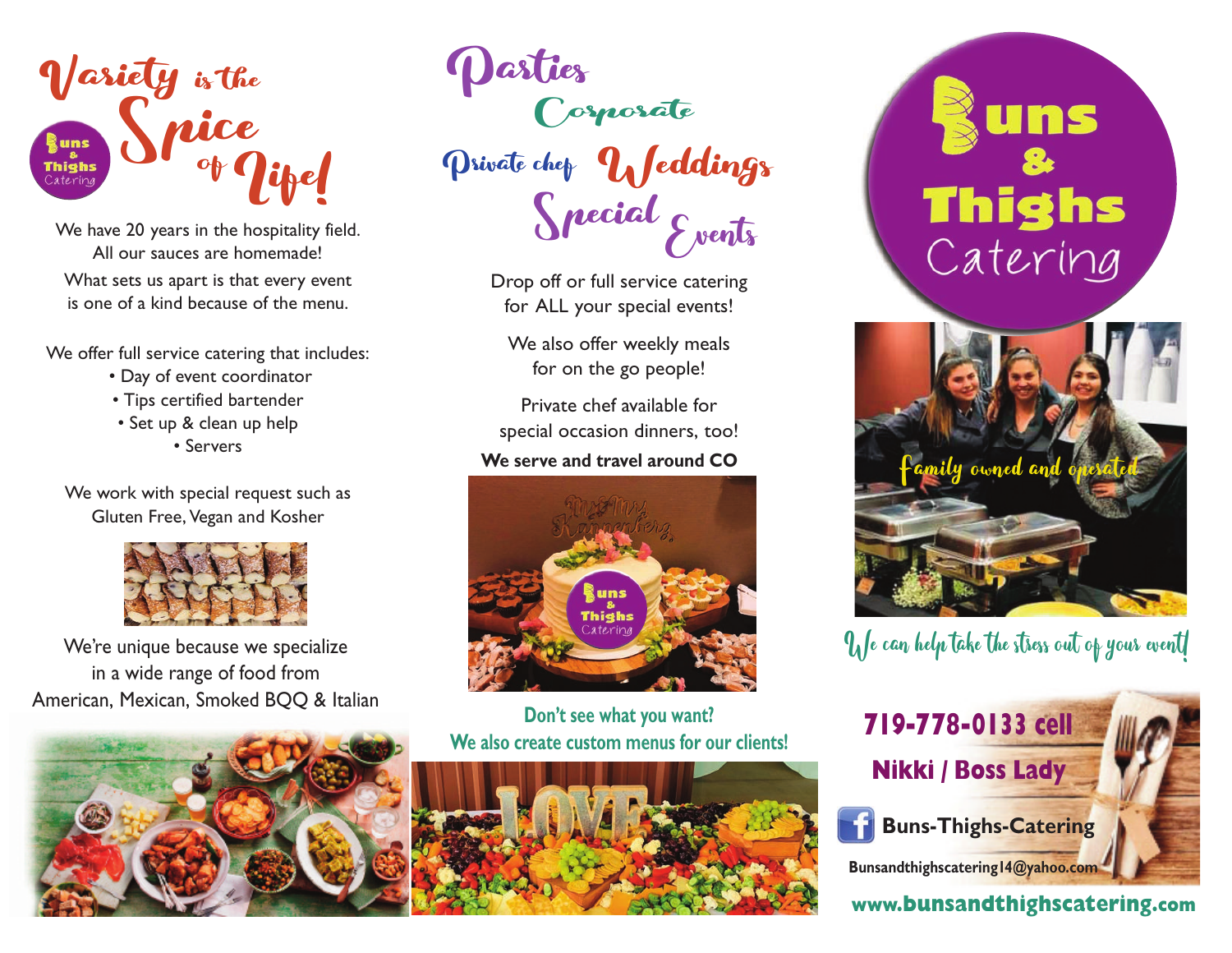

We have 20 years in the hospitality field. All our sauces are homemade! What sets us apart is that every event is one of a kind because of the menu.

We offer full service catering that includes:

- Day of event coordinator
- Tips certified bartender
- Set up & clean up help • Servers

We work with special request such as Gluten Free, Vegan and Kosher



We're unique because we specialize in a wide range of food from American, Mexican, Smoked BQQ & Italian

Special Events Private chep Ueddings Corporate

> Drop off or full service catering for ALL your special events!

We also offer weekly meals for on the go people!

Private chef available for special occasion dinners, too!

#### **We serve and travel around CO**



**Don't see what you want? We also create custom menus for our clients!**



uns **Thighs** Catering



### We can help take the stress out of your event!



#### **www.bunsandthighscatering.com**